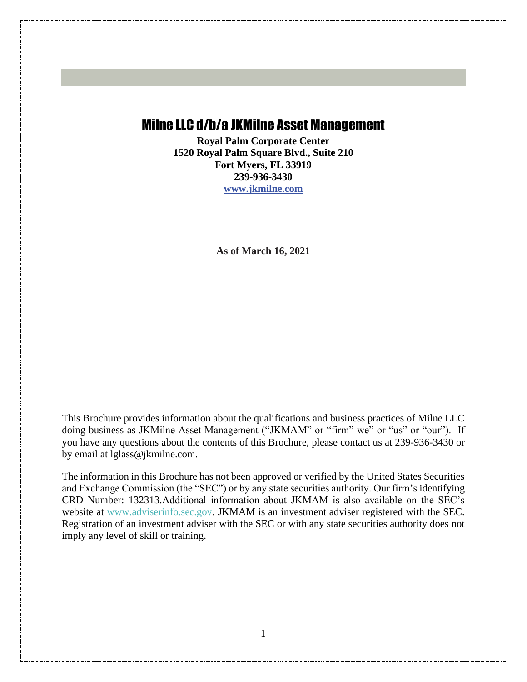# <span id="page-0-0"></span>Milne LLC d/b/a JKMilne Asset Management

**Royal Palm Corporate Center 1520 Royal Palm Square Blvd., Suite 210 Fort Myers, FL 33919 239-936-3430 www.jkmilne.com**

**As of March 16, 2021**

This Brochure provides information about the qualifications and business practices of Milne LLC doing business as JKMilne Asset Management ("JKMAM" or "firm" we" or "us" or "our"). If you have any questions about the contents of this Brochure, please contact us at 239-936-3430 or by email at lglass@jkmilne.com.

The information in this Brochure has not been approved or verified by the United States Securities and Exchange Commission (the "SEC") or by any state securities authority. Our firm's identifying CRD Number: 132313.Additional information about JKMAM is also available on the SEC's website at [www.adviserinfo.sec.gov.](http://www.adviserinfo.sec.gov/) JKMAM is an investment adviser registered with the SEC. Registration of an investment adviser with the SEC or with any state securities authority does not imply any level of skill or training.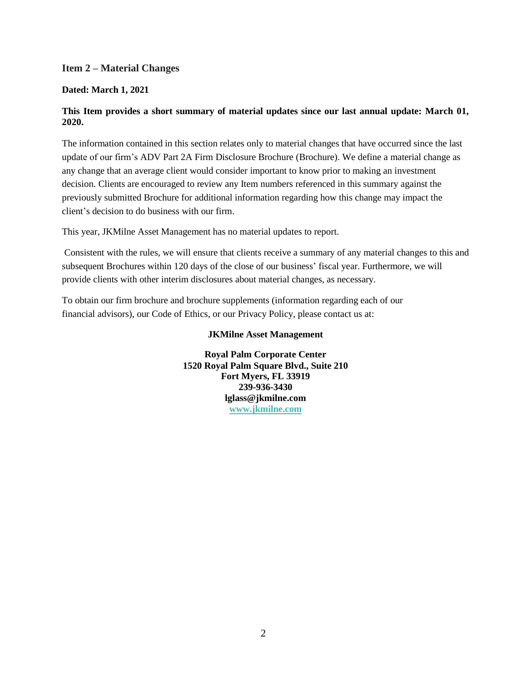#### <span id="page-1-0"></span>**Item 2 – Material Changes**

#### **Dated: March 1, 2021**

#### **This Item provides a short summary of material updates since our last annual update: March 01, 2020.**

The information contained in this section relates only to material changes that have occurred since the last update of our firm's ADV Part 2A Firm Disclosure Brochure (Brochure). We define a material change as any change that an average client would consider important to know prior to making an investment decision. Clients are encouraged to review any Item numbers referenced in this summary against the previously submitted Brochure for additional information regarding how this change may impact the client's decision to do business with our firm.

This year, JKMilne Asset Management has no material updates to report.

Consistent with the rules, we will ensure that clients receive a summary of any material changes to this and subsequent Brochures within 120 days of the close of our business' fiscal year. Furthermore, we will provide clients with other interim disclosures about material changes, as necessary.

To obtain our firm brochure and brochure supplements (information regarding each of our financial advisors), our Code of Ethics, or our Privacy Policy, please contact us at:

#### **JKMilne Asset Management**

**Royal Palm Corporate Center 1520 Royal Palm Square Blvd., Suite 210 Fort Myers, FL 33919 239-936-3430 lglass@jkmilne.com [www.jkmilne.com](http://www.jkmilne.com/)**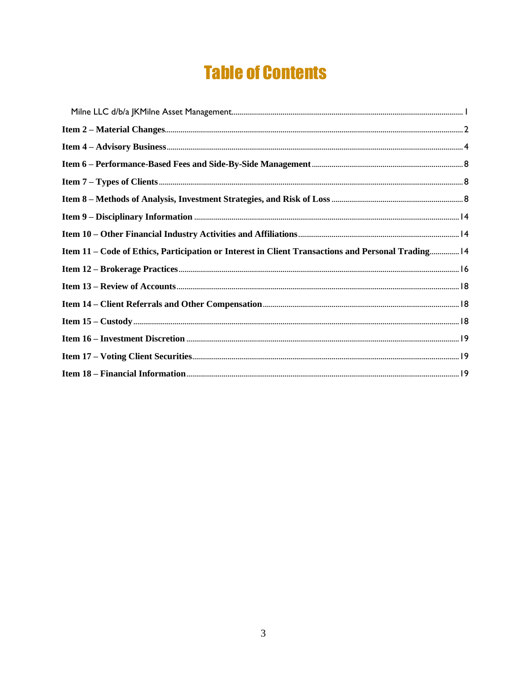# **Table of Contents**

| Item 11 - Code of Ethics, Participation or Interest in Client Transactions and Personal Trading 14 |  |
|----------------------------------------------------------------------------------------------------|--|
|                                                                                                    |  |
|                                                                                                    |  |
|                                                                                                    |  |
|                                                                                                    |  |
|                                                                                                    |  |
|                                                                                                    |  |
|                                                                                                    |  |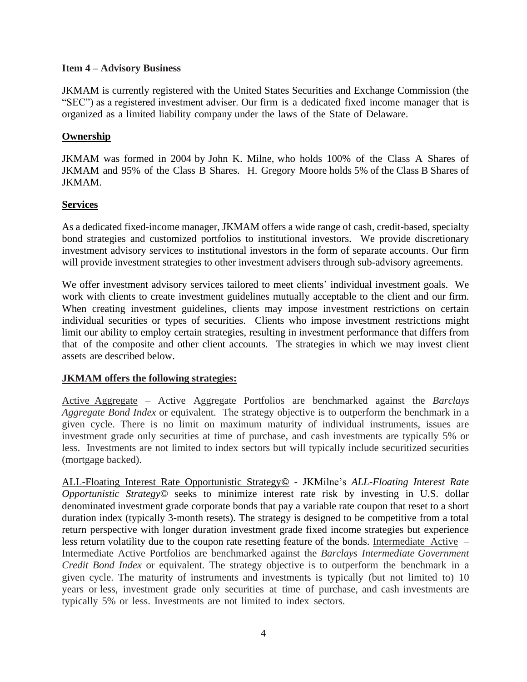#### <span id="page-3-0"></span>**Item 4 – Advisory Business**

JKMAM is currently registered with the United States Securities and Exchange Commission (the "SEC") as a registered investment adviser. Our firm is a dedicated fixed income manager that is organized as a limited liability company under the laws of the State of Delaware.

# **Ownership**

JKMAM was formed in 2004 by John K. Milne, who holds 100% of the Class A Shares of JKMAM and 95% of the Class B Shares. H. Gregory Moore holds 5% of the Class B Shares of JKMAM.

# **Services**

As a dedicated fixed-income manager, JKMAM offers a wide range of cash, credit-based, specialty bond strategies and customized portfolios to institutional investors. We provide discretionary investment advisory services to institutional investors in the form of separate accounts. Our firm will provide investment strategies to other investment advisers through sub-advisory agreements.

We offer investment advisory services tailored to meet clients' individual investment goals. We work with clients to create investment guidelines mutually acceptable to the client and our firm. When creating investment guidelines, clients may impose investment restrictions on certain individual securities or types of securities. Clients who impose investment restrictions might limit our ability to employ certain strategies, resulting in investment performance that differs from that of the composite and other client accounts. The strategies in which we may invest client assets are described below.

# **JKMAM offers the following strategies:**

Active Aggregate – Active Aggregate Portfolios are benchmarked against the *Barclays Aggregate Bond Index* or equivalent. The strategy objective is to outperform the benchmark in a given cycle. There is no limit on maximum maturity of individual instruments, issues are investment grade only securities at time of purchase, and cash investments are typically 5% or less. Investments are not limited to index sectors but will typically include securitized securities (mortgage backed).

ALL-Floating Interest Rate Opportunistic Strategy**© -** JKMilne's *ALL-Floating Interest Rate Opportunistic Strategy©* seeks to minimize interest rate risk by investing in U.S. dollar denominated investment grade corporate bonds that pay a variable rate coupon that reset to a short duration index (typically 3-month resets). The strategy is designed to be competitive from a total return perspective with longer duration investment grade fixed income strategies but experience less return volatility due to the coupon rate resetting feature of the bonds. Intermediate Active – Intermediate Active Portfolios are benchmarked against the *Barclays Intermediate Government Credit Bond Index* or equivalent. The strategy objective is to outperform the benchmark in a given cycle. The maturity of instruments and investments is typically (but not limited to) 10 years or less, investment grade only securities at time of purchase, and cash investments are typically 5% or less. Investments are not limited to index sectors.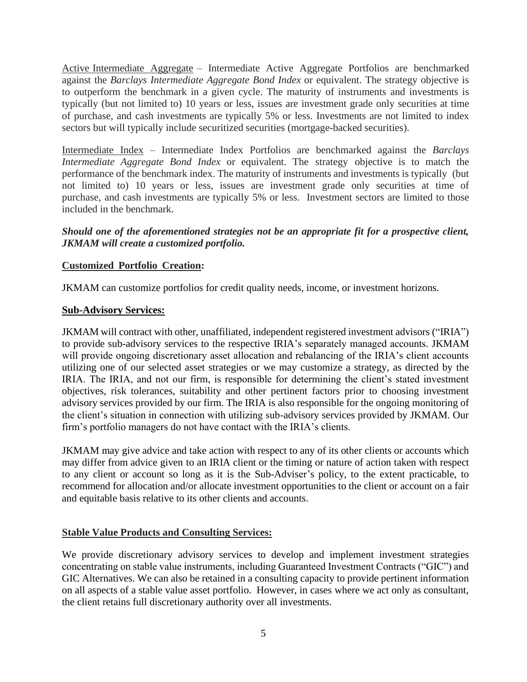Active Intermediate Aggregate – Intermediate Active Aggregate Portfolios are benchmarked against the *Barclays Intermediate Aggregate Bond Index* or equivalent. The strategy objective is to outperform the benchmark in a given cycle. The maturity of instruments and investments is typically (but not limited to) 10 years or less, issues are investment grade only securities at time of purchase, and cash investments are typically 5% or less. Investments are not limited to index sectors but will typically include securitized securities (mortgage-backed securities).

Intermediate Index – Intermediate Index Portfolios are benchmarked against the *Barclays Intermediate Aggregate Bond Index* or equivalent. The strategy objective is to match the performance of the benchmark index. The maturity of instruments and investments is typically (but not limited to) 10 years or less, issues are investment grade only securities at time of purchase, and cash investments are typically 5% or less. Investment sectors are limited to those included in the benchmark.

# *Should one of the aforementioned strategies not be an appropriate fit for a prospective client, JKMAM will create a customized portfolio.*

# **Customized Portfolio Creation:**

JKMAM can customize portfolios for credit quality needs, income, or investment horizons.

#### **Sub-Advisory Services:**

JKMAM will contract with other, unaffiliated, independent registered investment advisors ("IRIA") to provide sub-advisory services to the respective IRIA's separately managed accounts. JKMAM will provide ongoing discretionary asset allocation and rebalancing of the IRIA's client accounts utilizing one of our selected asset strategies or we may customize a strategy, as directed by the IRIA. The IRIA, and not our firm, is responsible for determining the client's stated investment objectives, risk tolerances, suitability and other pertinent factors prior to choosing investment advisory services provided by our firm. The IRIA is also responsible for the ongoing monitoring of the client's situation in connection with utilizing sub-advisory services provided by JKMAM. Our firm's portfolio managers do not have contact with the IRIA's clients.

JKMAM may give advice and take action with respect to any of its other clients or accounts which may differ from advice given to an IRIA client or the timing or nature of action taken with respect to any client or account so long as it is the Sub-Adviser's policy, to the extent practicable, to recommend for allocation and/or allocate investment opportunities to the client or account on a fair and equitable basis relative to its other clients and accounts.

# **Stable Value Products and Consulting Services:**

We provide discretionary advisory services to develop and implement investment strategies concentrating on stable value instruments, including Guaranteed Investment Contracts ("GIC") and GIC Alternatives. We can also be retained in a consulting capacity to provide pertinent information on all aspects of a stable value asset portfolio. However, in cases where we act only as consultant, the client retains full discretionary authority over all investments.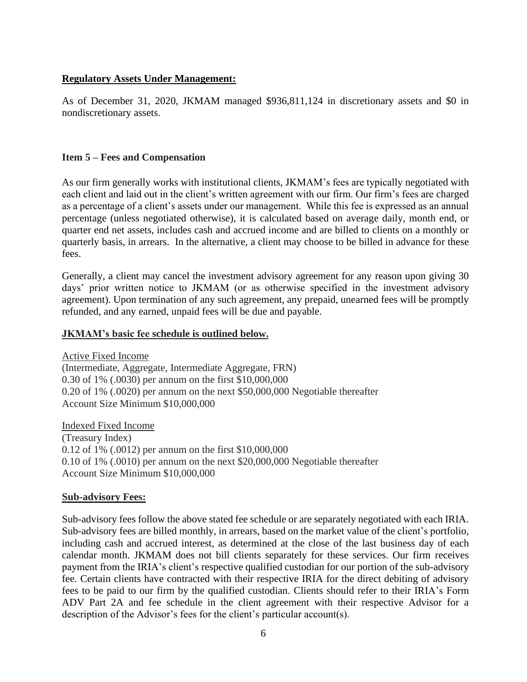#### **Regulatory Assets Under Management:**

As of December 31, 2020, JKMAM managed \$936,811,124 in discretionary assets and \$0 in nondiscretionary assets.

#### **Item 5 – Fees and Compensation**

As our firm generally works with institutional clients, JKMAM's fees are typically negotiated with each client and laid out in the client's written agreement with our firm. Our firm's fees are charged as a percentage of a client's assets under our management. While this fee is expressed as an annual percentage (unless negotiated otherwise), it is calculated based on average daily, month end, or quarter end net assets, includes cash and accrued income and are billed to clients on a monthly or quarterly basis, in arrears. In the alternative, a client may choose to be billed in advance for these fees.

Generally, a client may cancel the investment advisory agreement for any reason upon giving 30 days' prior written notice to JKMAM (or as otherwise specified in the investment advisory agreement). Upon termination of any such agreement, any prepaid, unearned fees will be promptly refunded, and any earned, unpaid fees will be due and payable.

#### **JKMAM's basic fee schedule is outlined below.**

Active Fixed Income (Intermediate, Aggregate, Intermediate Aggregate, FRN) 0.30 of 1% (.0030) per annum on the first \$10,000,000 0.20 of 1% (.0020) per annum on the next \$50,000,000 Negotiable thereafter Account Size Minimum \$10,000,000

Indexed Fixed Income (Treasury Index) 0.12 of 1% (.0012) per annum on the first \$10,000,000 0.10 of 1% (.0010) per annum on the next \$20,000,000 Negotiable thereafter Account Size Minimum \$10,000,000

#### **Sub-advisory Fees:**

Sub-advisory fees follow the above stated fee schedule or are separately negotiated with each IRIA. Sub-advisory fees are billed monthly, in arrears, based on the market value of the client's portfolio, including cash and accrued interest, as determined at the close of the last business day of each calendar month. JKMAM does not bill clients separately for these services. Our firm receives payment from the IRIA's client's respective qualified custodian for our portion of the sub-advisory fee. Certain clients have contracted with their respective IRIA for the direct debiting of advisory fees to be paid to our firm by the qualified custodian. Clients should refer to their IRIA's Form ADV Part 2A and fee schedule in the client agreement with their respective Advisor for a description of the Advisor's fees for the client's particular account(s).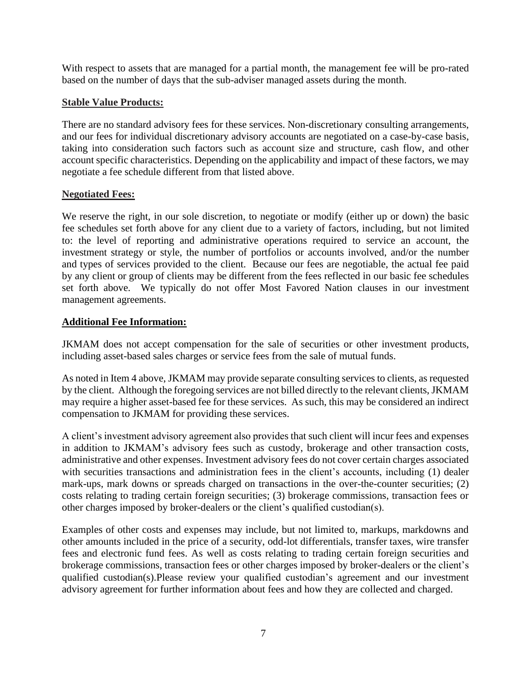With respect to assets that are managed for a partial month, the management fee will be pro-rated based on the number of days that the sub-adviser managed assets during the month.

### **Stable Value Products:**

There are no standard advisory fees for these services. Non-discretionary consulting arrangements, and our fees for individual discretionary advisory accounts are negotiated on a case-by-case basis, taking into consideration such factors such as account size and structure, cash flow, and other account specific characteristics. Depending on the applicability and impact of these factors, we may negotiate a fee schedule different from that listed above.

# **Negotiated Fees:**

We reserve the right, in our sole discretion, to negotiate or modify (either up or down) the basic fee schedules set forth above for any client due to a variety of factors, including, but not limited to: the level of reporting and administrative operations required to service an account, the investment strategy or style, the number of portfolios or accounts involved, and/or the number and types of services provided to the client. Because our fees are negotiable, the actual fee paid by any client or group of clients may be different from the fees reflected in our basic fee schedules set forth above. We typically do not offer Most Favored Nation clauses in our investment management agreements.

# **Additional Fee Information:**

JKMAM does not accept compensation for the sale of securities or other investment products, including asset-based sales charges or service fees from the sale of mutual funds.

As noted in Item 4 above, JKMAM may provide separate consulting services to clients, as requested by the client. Although the foregoing services are not billed directly to the relevant clients, JKMAM may require a higher asset-based fee for these services. As such, this may be considered an indirect compensation to JKMAM for providing these services.

A client's investment advisory agreement also provides that such client will incur fees and expenses in addition to JKMAM's advisory fees such as custody, brokerage and other transaction costs, administrative and other expenses. Investment advisory fees do not cover certain charges associated with securities transactions and administration fees in the client's accounts, including (1) dealer mark-ups, mark downs or spreads charged on transactions in the over-the-counter securities; (2) costs relating to trading certain foreign securities; (3) brokerage commissions, transaction fees or other charges imposed by broker-dealers or the client's qualified custodian(s).

Examples of other costs and expenses may include, but not limited to, markups, markdowns and other amounts included in the price of a security, odd-lot differentials, transfer taxes, wire transfer fees and electronic fund fees. As well as costs relating to trading certain foreign securities and brokerage commissions, transaction fees or other charges imposed by broker-dealers or the client's qualified custodian(s).Please review your qualified custodian's agreement and our investment advisory agreement for further information about fees and how they are collected and charged.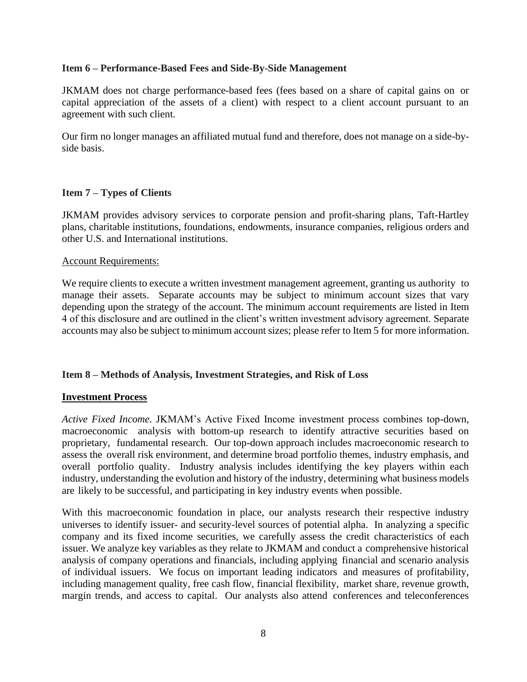#### <span id="page-7-0"></span>**Item 6 – Performance-Based Fees and Side-By-Side Management**

JKMAM does not charge performance-based fees (fees based on a share of capital gains on or capital appreciation of the assets of a client) with respect to a client account pursuant to an agreement with such client.

Our firm no longer manages an affiliated mutual fund and therefore, does not manage on a side-byside basis.

#### <span id="page-7-1"></span>**Item 7 – Types of Clients**

JKMAM provides advisory services to corporate pension and profit-sharing plans, Taft-Hartley plans, charitable institutions, foundations, endowments, insurance companies, religious orders and other U.S. and International institutions.

#### Account Requirements:

We require clients to execute a written investment management agreement, granting us authority to manage their assets. Separate accounts may be subject to minimum account sizes that vary depending upon the strategy of the account. The minimum account requirements are listed in Item 4 of this disclosure and are outlined in the client's written investment advisory agreement. Separate accounts may also be subject to minimum account sizes; please refer to Item 5 for more information.

#### <span id="page-7-2"></span>**Item 8 – Methods of Analysis, Investment Strategies, and Risk of Loss**

#### **Investment Process**

*Active Fixed Income*. JKMAM's Active Fixed Income investment process combines top-down, macroeconomic analysis with bottom-up research to identify attractive securities based on proprietary, fundamental research. Our top-down approach includes macroeconomic research to assess the overall risk environment, and determine broad portfolio themes, industry emphasis, and overall portfolio quality. Industry analysis includes identifying the key players within each industry, understanding the evolution and history of the industry, determining what business models are likely to be successful, and participating in key industry events when possible.

With this macroeconomic foundation in place, our analysts research their respective industry universes to identify issuer- and security-level sources of potential alpha. In analyzing a specific company and its fixed income securities, we carefully assess the credit characteristics of each issuer. We analyze key variables as they relate to JKMAM and conduct a comprehensive historical analysis of company operations and financials, including applying financial and scenario analysis of individual issuers. We focus on important leading indicators and measures of profitability, including management quality, free cash flow, financial flexibility, market share, revenue growth, margin trends, and access to capital. Our analysts also attend conferences and teleconferences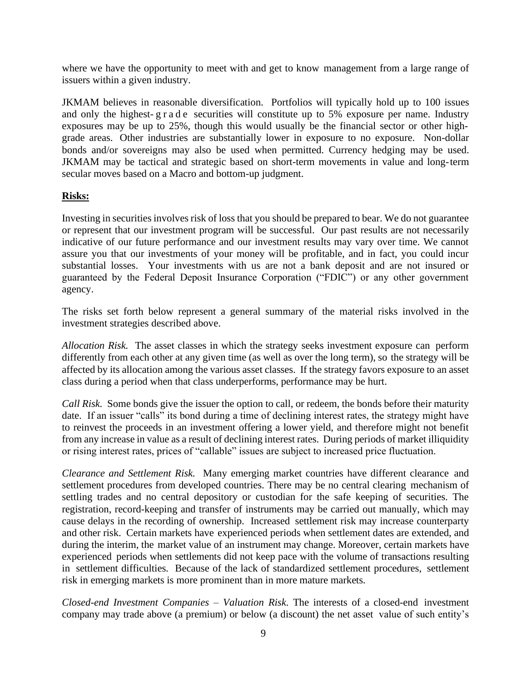where we have the opportunity to meet with and get to know management from a large range of issuers within a given industry.

JKMAM believes in reasonable diversification. Portfolios will typically hold up to 100 issues and only the highest-g r a d e securities will constitute up to 5% exposure per name. Industry exposures may be up to 25%, though this would usually be the financial sector or other highgrade areas. Other industries are substantially lower in exposure to no exposure. Non-dollar bonds and/or sovereigns may also be used when permitted. Currency hedging may be used. JKMAM may be tactical and strategic based on short-term movements in value and long-term secular moves based on a Macro and bottom-up judgment.

# **Risks:**

Investing in securities involves risk of loss that you should be prepared to bear. We do not guarantee or represent that our investment program will be successful. Our past results are not necessarily indicative of our future performance and our investment results may vary over time. We cannot assure you that our investments of your money will be profitable, and in fact, you could incur substantial losses. Your investments with us are not a bank deposit and are not insured or guaranteed by the Federal Deposit Insurance Corporation ("FDIC") or any other government agency.

The risks set forth below represent a general summary of the material risks involved in the investment strategies described above.

*Allocation Risk.* The asset classes in which the strategy seeks investment exposure can perform differently from each other at any given time (as well as over the long term), so the strategy will be affected by its allocation among the various asset classes. If the strategy favors exposure to an asset class during a period when that class underperforms, performance may be hurt.

*Call Risk.* Some bonds give the issuer the option to call, or redeem, the bonds before their maturity date. If an issuer "calls" its bond during a time of declining interest rates, the strategy might have to reinvest the proceeds in an investment offering a lower yield, and therefore might not benefit from any increase in value as a result of declining interest rates. During periods of market illiquidity or rising interest rates, prices of "callable" issues are subject to increased price fluctuation.

*Clearance and Settlement Risk.* Many emerging market countries have different clearance and settlement procedures from developed countries. There may be no central clearing mechanism of settling trades and no central depository or custodian for the safe keeping of securities. The registration, record-keeping and transfer of instruments may be carried out manually, which may cause delays in the recording of ownership. Increased settlement risk may increase counterparty and other risk. Certain markets have experienced periods when settlement dates are extended, and during the interim, the market value of an instrument may change. Moreover, certain markets have experienced periods when settlements did not keep pace with the volume of transactions resulting in settlement difficulties. Because of the lack of standardized settlement procedures, settlement risk in emerging markets is more prominent than in more mature markets.

*Closed-end Investment Companies – Valuation Risk*. The interests of a closed-end investment company may trade above (a premium) or below (a discount) the net asset value of such entity's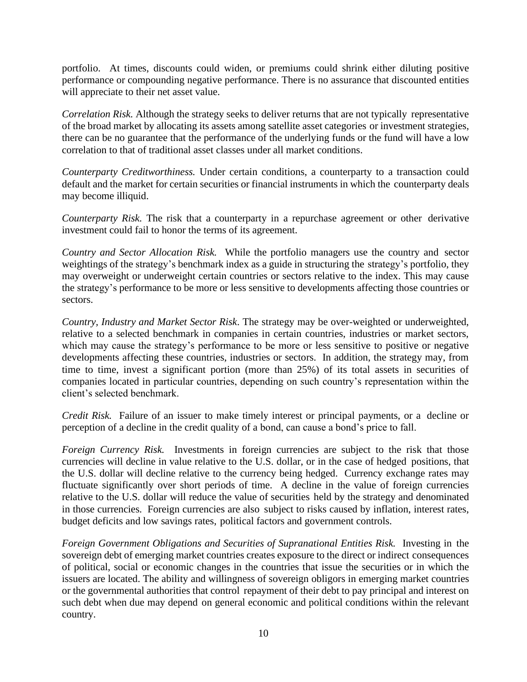portfolio. At times, discounts could widen, or premiums could shrink either diluting positive performance or compounding negative performance. There is no assurance that discounted entities will appreciate to their net asset value.

*Correlation Risk.* Although the strategy seeks to deliver returns that are not typically representative of the broad market by allocating its assets among satellite asset categories or investment strategies, there can be no guarantee that the performance of the underlying funds or the fund will have a low correlation to that of traditional asset classes under all market conditions.

*Counterparty Creditworthiness.* Under certain conditions, a counterparty to a transaction could default and the market for certain securities or financial instruments in which the counterparty deals may become illiquid.

*Counterparty Risk.* The risk that a counterparty in a repurchase agreement or other derivative investment could fail to honor the terms of its agreement.

*Country and Sector Allocation Risk.* While the portfolio managers use the country and sector weightings of the strategy's benchmark index as a guide in structuring the strategy's portfolio, they may overweight or underweight certain countries or sectors relative to the index. This may cause the strategy's performance to be more or less sensitive to developments affecting those countries or sectors.

*Country, Industry and Market Sector Risk*. The strategy may be over-weighted or underweighted, relative to a selected benchmark in companies in certain countries, industries or market sectors, which may cause the strategy's performance to be more or less sensitive to positive or negative developments affecting these countries, industries or sectors. In addition, the strategy may, from time to time, invest a significant portion (more than 25%) of its total assets in securities of companies located in particular countries, depending on such country's representation within the client's selected benchmark.

*Credit Risk.* Failure of an issuer to make timely interest or principal payments, or a decline or perception of a decline in the credit quality of a bond, can cause a bond's price to fall.

*Foreign Currency Risk.* Investments in foreign currencies are subject to the risk that those currencies will decline in value relative to the U.S. dollar, or in the case of hedged positions, that the U.S. dollar will decline relative to the currency being hedged. Currency exchange rates may fluctuate significantly over short periods of time. A decline in the value of foreign currencies relative to the U.S. dollar will reduce the value of securities held by the strategy and denominated in those currencies. Foreign currencies are also subject to risks caused by inflation, interest rates, budget deficits and low savings rates, political factors and government controls.

*Foreign Government Obligations and Securities of Supranational Entities Risk.* Investing in the sovereign debt of emerging market countries creates exposure to the direct or indirect consequences of political, social or economic changes in the countries that issue the securities or in which the issuers are located. The ability and willingness of sovereign obligors in emerging market countries or the governmental authorities that control repayment of their debt to pay principal and interest on such debt when due may depend on general economic and political conditions within the relevant country.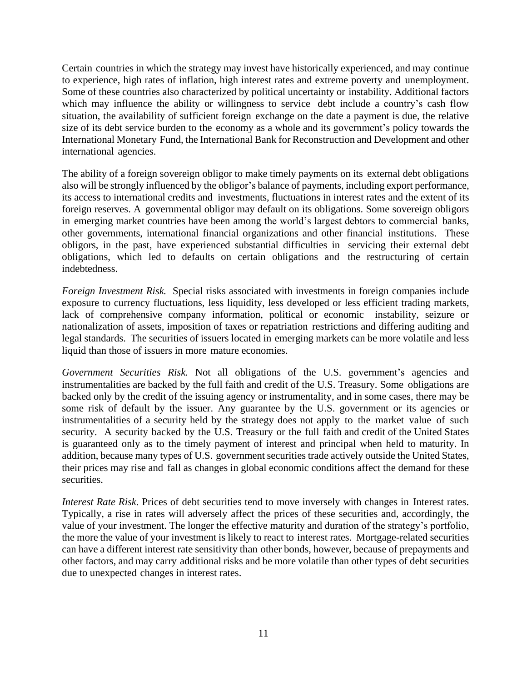Certain countries in which the strategy may invest have historically experienced, and may continue to experience, high rates of inflation, high interest rates and extreme poverty and unemployment. Some of these countries also characterized by political uncertainty or instability. Additional factors which may influence the ability or willingness to service debt include a country's cash flow situation, the availability of sufficient foreign exchange on the date a payment is due, the relative size of its debt service burden to the economy as a whole and its government's policy towards the International Monetary Fund, the International Bank for Reconstruction and Development and other international agencies.

The ability of a foreign sovereign obligor to make timely payments on its external debt obligations also will be strongly influenced by the obligor's balance of payments, including export performance, its access to international credits and investments, fluctuations in interest rates and the extent of its foreign reserves. A governmental obligor may default on its obligations. Some sovereign obligors in emerging market countries have been among the world's largest debtors to commercial banks, other governments, international financial organizations and other financial institutions. These obligors, in the past, have experienced substantial difficulties in servicing their external debt obligations, which led to defaults on certain obligations and the restructuring of certain indebtedness.

*Foreign Investment Risk.* Special risks associated with investments in foreign companies include exposure to currency fluctuations, less liquidity, less developed or less efficient trading markets, lack of comprehensive company information, political or economic instability, seizure or nationalization of assets, imposition of taxes or repatriation restrictions and differing auditing and legal standards. The securities of issuers located in emerging markets can be more volatile and less liquid than those of issuers in more mature economies.

*Government Securities Risk.* Not all obligations of the U.S. government's agencies and instrumentalities are backed by the full faith and credit of the U.S. Treasury. Some obligations are backed only by the credit of the issuing agency or instrumentality, and in some cases, there may be some risk of default by the issuer. Any guarantee by the U.S. government or its agencies or instrumentalities of a security held by the strategy does not apply to the market value of such security. A security backed by the U.S. Treasury or the full faith and credit of the United States is guaranteed only as to the timely payment of interest and principal when held to maturity. In addition, because many types of U.S. government securities trade actively outside the United States, their prices may rise and fall as changes in global economic conditions affect the demand for these securities.

*Interest Rate Risk.* Prices of debt securities tend to move inversely with changes in Interest rates. Typically, a rise in rates will adversely affect the prices of these securities and, accordingly, the value of your investment. The longer the effective maturity and duration of the strategy's portfolio, the more the value of your investment is likely to react to interest rates. Mortgage-related securities can have a different interest rate sensitivity than other bonds, however, because of prepayments and other factors, and may carry additional risks and be more volatile than other types of debt securities due to unexpected changes in interest rates.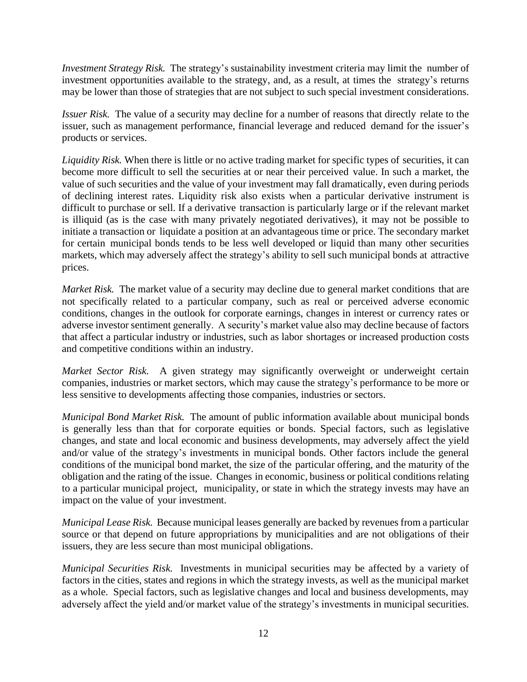*Investment Strategy Risk.* The strategy's sustainability investment criteria may limit the number of investment opportunities available to the strategy, and, as a result, at times the strategy's returns may be lower than those of strategies that are not subject to such special investment considerations.

*Issuer Risk.* The value of a security may decline for a number of reasons that directly relate to the issuer, such as management performance, financial leverage and reduced demand for the issuer's products or services.

*Liquidity Risk.* When there is little or no active trading market for specific types of securities, it can become more difficult to sell the securities at or near their perceived value. In such a market, the value of such securities and the value of your investment may fall dramatically, even during periods of declining interest rates. Liquidity risk also exists when a particular derivative instrument is difficult to purchase or sell. If a derivative transaction is particularly large or if the relevant market is illiquid (as is the case with many privately negotiated derivatives), it may not be possible to initiate a transaction or liquidate a position at an advantageous time or price. The secondary market for certain municipal bonds tends to be less well developed or liquid than many other securities markets, which may adversely affect the strategy's ability to sell such municipal bonds at attractive prices.

*Market Risk.* The market value of a security may decline due to general market conditions that are not specifically related to a particular company, such as real or perceived adverse economic conditions, changes in the outlook for corporate earnings, changes in interest or currency rates or adverse investor sentiment generally. A security's market value also may decline because of factors that affect a particular industry or industries, such as labor shortages or increased production costs and competitive conditions within an industry.

*Market Sector Risk.* A given strategy may significantly overweight or underweight certain companies, industries or market sectors, which may cause the strategy's performance to be more or less sensitive to developments affecting those companies, industries or sectors.

*Municipal Bond Market Risk.* The amount of public information available about municipal bonds is generally less than that for corporate equities or bonds. Special factors, such as legislative changes, and state and local economic and business developments, may adversely affect the yield and/or value of the strategy's investments in municipal bonds. Other factors include the general conditions of the municipal bond market, the size of the particular offering, and the maturity of the obligation and the rating of the issue. Changes in economic, business or political conditions relating to a particular municipal project, municipality, or state in which the strategy invests may have an impact on the value of your investment.

*Municipal Lease Risk.* Because municipal leases generally are backed by revenues from a particular source or that depend on future appropriations by municipalities and are not obligations of their issuers, they are less secure than most municipal obligations.

*Municipal Securities Risk.* Investments in municipal securities may be affected by a variety of factors in the cities, states and regions in which the strategy invests, as well as the municipal market as a whole. Special factors, such as legislative changes and local and business developments, may adversely affect the yield and/or market value of the strategy's investments in municipal securities.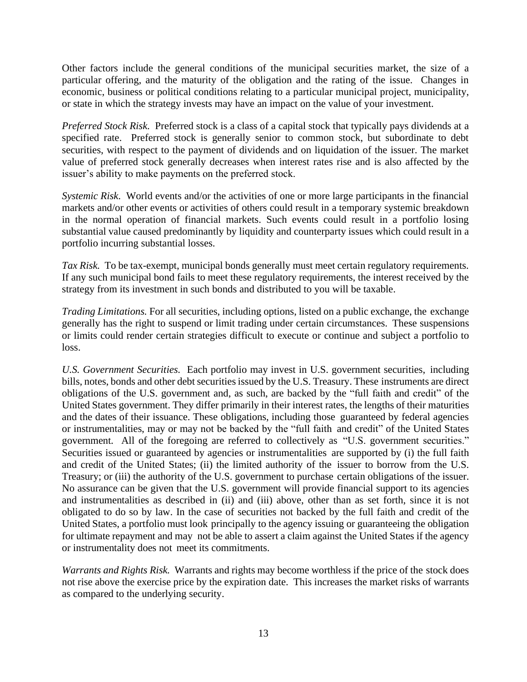Other factors include the general conditions of the municipal securities market, the size of a particular offering, and the maturity of the obligation and the rating of the issue. Changes in economic, business or political conditions relating to a particular municipal project, municipality, or state in which the strategy invests may have an impact on the value of your investment.

*Preferred Stock Risk.* Preferred stock is a class of a capital stock that typically pays dividends at a specified rate. Preferred stock is generally senior to common stock, but subordinate to debt securities, with respect to the payment of dividends and on liquidation of the issuer. The market value of preferred stock generally decreases when interest rates rise and is also affected by the issuer's ability to make payments on the preferred stock.

*Systemic Risk*. World events and/or the activities of one or more large participants in the financial markets and/or other events or activities of others could result in a temporary systemic breakdown in the normal operation of financial markets. Such events could result in a portfolio losing substantial value caused predominantly by liquidity and counterparty issues which could result in a portfolio incurring substantial losses.

*Tax Risk.* To be tax-exempt, municipal bonds generally must meet certain regulatory requirements. If any such municipal bond fails to meet these regulatory requirements, the interest received by the strategy from its investment in such bonds and distributed to you will be taxable.

*Trading Limitations.* For all securities, including options, listed on a public exchange, the exchange generally has the right to suspend or limit trading under certain circumstances. These suspensions or limits could render certain strategies difficult to execute or continue and subject a portfolio to loss.

*U.S. Government Securities.* Each portfolio may invest in U.S. government securities, including bills, notes, bonds and other debt securities issued by the U.S. Treasury. These instruments are direct obligations of the U.S. government and, as such, are backed by the "full faith and credit" of the United States government. They differ primarily in their interest rates, the lengths of their maturities and the dates of their issuance. These obligations, including those guaranteed by federal agencies or instrumentalities, may or may not be backed by the "full faith and credit" of the United States government. All of the foregoing are referred to collectively as "U.S. government securities." Securities issued or guaranteed by agencies or instrumentalities are supported by (i) the full faith and credit of the United States; (ii) the limited authority of the issuer to borrow from the U.S. Treasury; or (iii) the authority of the U.S. government to purchase certain obligations of the issuer. No assurance can be given that the U.S. government will provide financial support to its agencies and instrumentalities as described in (ii) and (iii) above, other than as set forth, since it is not obligated to do so by law. In the case of securities not backed by the full faith and credit of the United States, a portfolio must look principally to the agency issuing or guaranteeing the obligation for ultimate repayment and may not be able to assert a claim against the United States if the agency or instrumentality does not meet its commitments.

*Warrants and Rights Risk.* Warrants and rights may become worthless if the price of the stock does not rise above the exercise price by the expiration date. This increases the market risks of warrants as compared to the underlying security.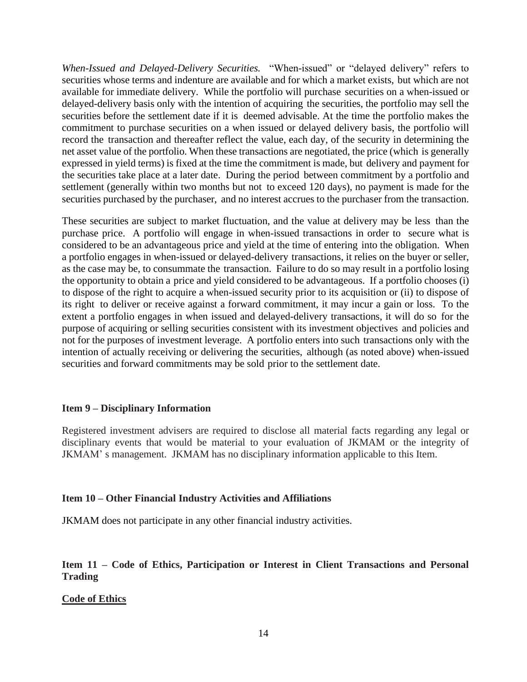*When-Issued and Delayed-Delivery Securities.* "When-issued" or "delayed delivery" refers to securities whose terms and indenture are available and for which a market exists, but which are not available for immediate delivery. While the portfolio will purchase securities on a when-issued or delayed-delivery basis only with the intention of acquiring the securities, the portfolio may sell the securities before the settlement date if it is deemed advisable. At the time the portfolio makes the commitment to purchase securities on a when issued or delayed delivery basis, the portfolio will record the transaction and thereafter reflect the value, each day, of the security in determining the net asset value of the portfolio. When these transactions are negotiated, the price (which is generally expressed in yield terms) is fixed at the time the commitment is made, but delivery and payment for the securities take place at a later date. During the period between commitment by a portfolio and settlement (generally within two months but not to exceed 120 days), no payment is made for the securities purchased by the purchaser, and no interest accrues to the purchaser from the transaction.

These securities are subject to market fluctuation, and the value at delivery may be less than the purchase price. A portfolio will engage in when-issued transactions in order to secure what is considered to be an advantageous price and yield at the time of entering into the obligation. When a portfolio engages in when-issued or delayed-delivery transactions, it relies on the buyer or seller, as the case may be, to consummate the transaction. Failure to do so may result in a portfolio losing the opportunity to obtain a price and yield considered to be advantageous. If a portfolio chooses (i) to dispose of the right to acquire a when-issued security prior to its acquisition or (ii) to dispose of its right to deliver or receive against a forward commitment, it may incur a gain or loss. To the extent a portfolio engages in when issued and delayed-delivery transactions, it will do so for the purpose of acquiring or selling securities consistent with its investment objectives and policies and not for the purposes of investment leverage. A portfolio enters into such transactions only with the intention of actually receiving or delivering the securities, although (as noted above) when-issued securities and forward commitments may be sold prior to the settlement date.

#### <span id="page-13-0"></span>**Item 9 – Disciplinary Information**

Registered investment advisers are required to disclose all material facts regarding any legal or disciplinary events that would be material to your evaluation of JKMAM or the integrity of JKMAM' s management. JKMAM has no disciplinary information applicable to this Item.

#### <span id="page-13-1"></span>**Item 10 – Other Financial Industry Activities and Affiliations**

JKMAM does not participate in any other financial industry activities.

# <span id="page-13-2"></span>**Item 11 – Code of Ethics, Participation or Interest in Client Transactions and Personal Trading**

#### **Code of Ethics**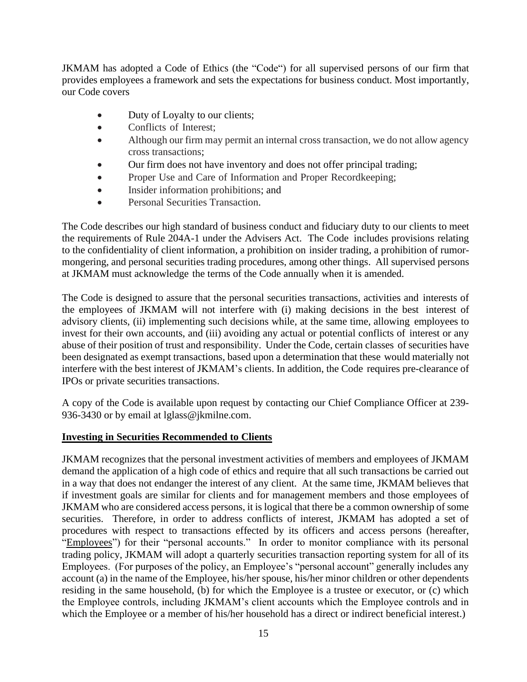JKMAM has adopted a Code of Ethics (the "Code") for all supervised persons of our firm that provides employees a framework and sets the expectations for business conduct. Most importantly, our Code covers

- Duty of Loyalty to our clients;
- Conflicts of Interest;
- Although our firm may permit an internal cross transaction, we do not allow agency cross transactions;
- Our firm does not have inventory and does not offer principal trading;
- Proper Use and Care of Information and Proper Recordkeeping;
- Insider information prohibitions; and
- Personal Securities Transaction.

The Code describes our high standard of business conduct and fiduciary duty to our clients to meet the requirements of Rule 204A-1 under the Advisers Act. The Code includes provisions relating to the confidentiality of client information, a prohibition on insider trading, a prohibition of rumormongering, and personal securities trading procedures, among other things. All supervised persons at JKMAM must acknowledge the terms of the Code annually when it is amended.

The Code is designed to assure that the personal securities transactions, activities and interests of the employees of JKMAM will not interfere with (i) making decisions in the best interest of advisory clients, (ii) implementing such decisions while, at the same time, allowing employees to invest for their own accounts, and (iii) avoiding any actual or potential conflicts of interest or any abuse of their position of trust and responsibility. Under the Code, certain classes of securities have been designated as exempt transactions, based upon a determination that these would materially not interfere with the best interest of JKMAM's clients. In addition, the Code requires pre-clearance of IPOs or private securities transactions.

A copy of the Code is available upon request by contacting our Chief Compliance Officer at 239- 936-3430 or by email at lglass@jkmilne.com.

#### **Investing in Securities Recommended to Clients**

JKMAM recognizes that the personal investment activities of members and employees of JKMAM demand the application of a high code of ethics and require that all such transactions be carried out in a way that does not endanger the interest of any client. At the same time, JKMAM believes that if investment goals are similar for clients and for management members and those employees of JKMAM who are considered access persons, it is logical that there be a common ownership of some securities. Therefore, in order to address conflicts of interest, JKMAM has adopted a set of procedures with respect to transactions effected by its officers and access persons (hereafter, "Employees") for their "personal accounts." In order to monitor compliance with its personal trading policy, JKMAM will adopt a quarterly securities transaction reporting system for all of its Employees. (For purposes of the policy, an Employee's "personal account" generally includes any account (a) in the name of the Employee, his/her spouse, his/her minor children or other dependents residing in the same household, (b) for which the Employee is a trustee or executor, or (c) which the Employee controls, including JKMAM's client accounts which the Employee controls and in which the Employee or a member of his/her household has a direct or indirect beneficial interest.)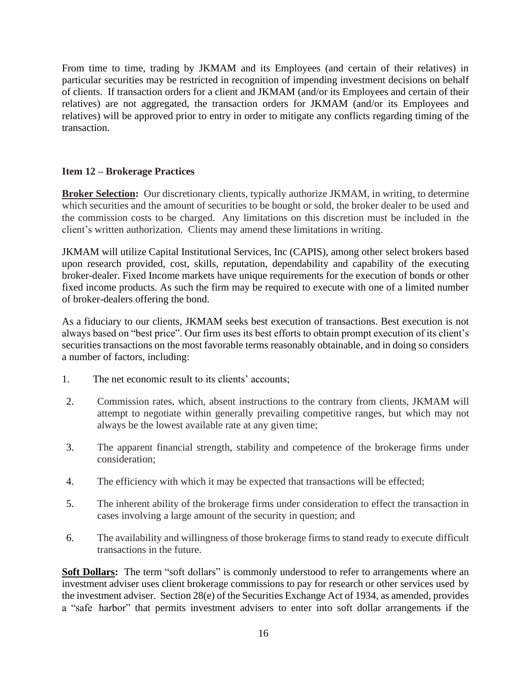From time to time, trading by JKMAM and its Employees (and certain of their relatives) in particular securities may be restricted in recognition of impending investment decisions on behalf of clients. If transaction orders for a client and JKMAM (and/or its Employees and certain of their relatives) are not aggregated, the transaction orders for JKMAM (and/or its Employees and relatives) will be approved prior to entry in order to mitigate any conflicts regarding timing of the transaction.

# <span id="page-15-0"></span>**Item 12 – Brokerage Practices**

**Broker Selection:** Our discretionary clients, typically authorize JKMAM, in writing, to determine which securities and the amount of securities to be bought or sold, the broker dealer to be used and the commission costs to be charged. Any limitations on this discretion must be included in the client's written authorization. Clients may amend these limitations in writing.

JKMAM will utilize Capital Institutional Services, Inc (CAPIS), among other select brokers based upon research provided, cost, skills, reputation, dependability and capability of the executing broker-dealer. Fixed Income markets have unique requirements for the execution of bonds or other fixed income products. As such the firm may be required to execute with one of a limited number of broker-dealers offering the bond.

As a fiduciary to our clients, JKMAM seeks best execution of transactions. Best execution is not always based on "best price". Our firm uses its best efforts to obtain prompt execution of its client's securities transactions on the most favorable terms reasonably obtainable, and in doing so considers a number of factors, including:

- 1. The net economic result to its clients' accounts;
- 2. Commission rates, which, absent instructions to the contrary from clients, JKMAM will attempt to negotiate within generally prevailing competitive ranges, but which may not always be the lowest available rate at any given time;
- 3. The apparent financial strength, stability and competence of the brokerage firms under consideration;
- 4. The efficiency with which it may be expected that transactions will be effected;
- 5. The inherent ability of the brokerage firms under consideration to effect the transaction in cases involving a large amount of the security in question; and
- 6. The availability and willingness of those brokerage firms to stand ready to execute difficult transactions in the future.

**Soft Dollars:** The term "soft dollars" is commonly understood to refer to arrangements where an investment adviser uses client brokerage commissions to pay for research or other services used by the investment adviser. Section 28(e) of the Securities Exchange Act of 1934, as amended, provides a "safe harbor" that permits investment advisers to enter into soft dollar arrangements if the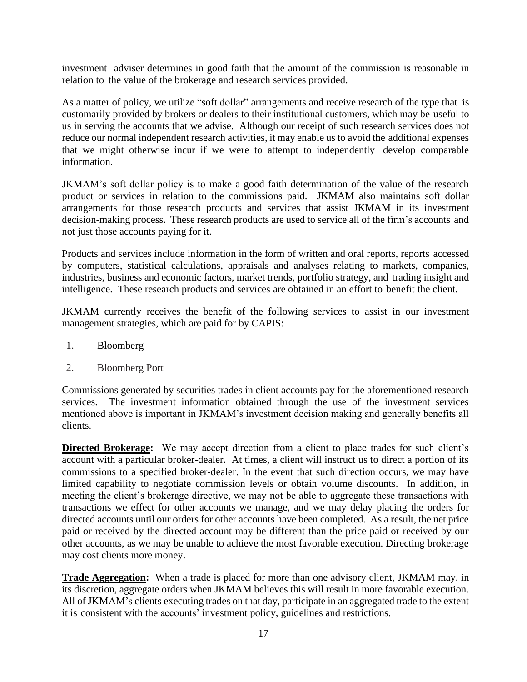investment adviser determines in good faith that the amount of the commission is reasonable in relation to the value of the brokerage and research services provided.

As a matter of policy, we utilize "soft dollar" arrangements and receive research of the type that is customarily provided by brokers or dealers to their institutional customers, which may be useful to us in serving the accounts that we advise. Although our receipt of such research services does not reduce our normal independent research activities, it may enable us to avoid the additional expenses that we might otherwise incur if we were to attempt to independently develop comparable information.

JKMAM's soft dollar policy is to make a good faith determination of the value of the research product or services in relation to the commissions paid. JKMAM also maintains soft dollar arrangements for those research products and services that assist JKMAM in its investment decision-making process. These research products are used to service all of the firm's accounts and not just those accounts paying for it.

Products and services include information in the form of written and oral reports, reports accessed by computers, statistical calculations, appraisals and analyses relating to markets, companies, industries, business and economic factors, market trends, portfolio strategy, and trading insight and intelligence. These research products and services are obtained in an effort to benefit the client.

JKMAM currently receives the benefit of the following services to assist in our investment management strategies, which are paid for by CAPIS:

- 1. Bloomberg
- 2. Bloomberg Port

Commissions generated by securities trades in client accounts pay for the aforementioned research services. The investment information obtained through the use of the investment services mentioned above is important in JKMAM's investment decision making and generally benefits all clients.

**Directed Brokerage:** We may accept direction from a client to place trades for such client's account with a particular broker-dealer. At times, a client will instruct us to direct a portion of its commissions to a specified broker-dealer. In the event that such direction occurs, we may have limited capability to negotiate commission levels or obtain volume discounts. In addition, in meeting the client's brokerage directive, we may not be able to aggregate these transactions with transactions we effect for other accounts we manage, and we may delay placing the orders for directed accounts until our orders for other accounts have been completed. As a result, the net price paid or received by the directed account may be different than the price paid or received by our other accounts, as we may be unable to achieve the most favorable execution. Directing brokerage may cost clients more money.

**Trade Aggregation:** When a trade is placed for more than one advisory client, JKMAM may, in its discretion, aggregate orders when JKMAM believes this will result in more favorable execution. All of JKMAM's clients executing trades on that day, participate in an aggregated trade to the extent it is consistent with the accounts' investment policy, guidelines and restrictions.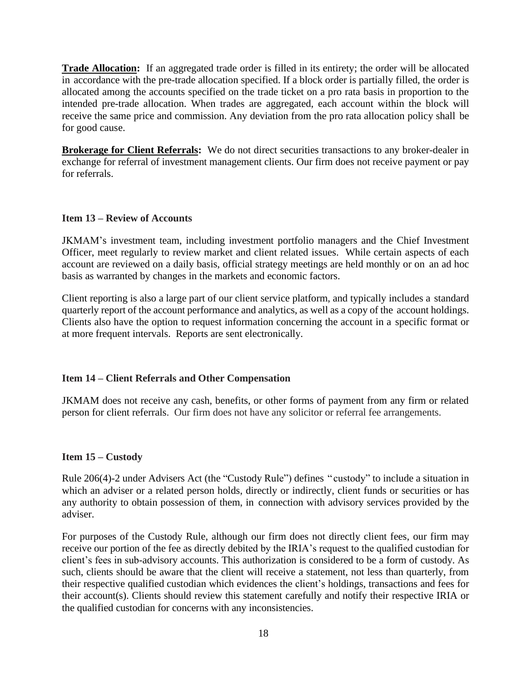**Trade Allocation:** If an aggregated trade order is filled in its entirety; the order will be allocated in accordance with the pre-trade allocation specified. If a block order is partially filled, the order is allocated among the accounts specified on the trade ticket on a pro rata basis in proportion to the intended pre-trade allocation. When trades are aggregated, each account within the block will receive the same price and commission. Any deviation from the pro rata allocation policy shall be for good cause.

**Brokerage for Client Referrals:** We do not direct securities transactions to any broker-dealer in exchange for referral of investment management clients. Our firm does not receive payment or pay for referrals.

# <span id="page-17-0"></span>**Item 13 – Review of Accounts**

JKMAM's investment team, including investment portfolio managers and the Chief Investment Officer, meet regularly to review market and client related issues. While certain aspects of each account are reviewed on a daily basis, official strategy meetings are held monthly or on an ad hoc basis as warranted by changes in the markets and economic factors.

Client reporting is also a large part of our client service platform, and typically includes a standard quarterly report of the account performance and analytics, as well as a copy of the account holdings. Clients also have the option to request information concerning the account in a specific format or at more frequent intervals. Reports are sent electronically.

# <span id="page-17-1"></span>**Item 14 – Client Referrals and Other Compensation**

JKMAM does not receive any cash, benefits, or other forms of payment from any firm or related person for client referrals. Our firm does not have any solicitor or referral fee arrangements.

#### <span id="page-17-2"></span>**Item 15 – Custody**

Rule 206(4)-2 under Advisers Act (the "Custody Rule") defines " custody" to include a situation in which an adviser or a related person holds, directly or indirectly, client funds or securities or has any authority to obtain possession of them, in connection with advisory services provided by the adviser.

For purposes of the Custody Rule, although our firm does not directly client fees, our firm may receive our portion of the fee as directly debited by the IRIA's request to the qualified custodian for client's fees in sub-advisory accounts. This authorization is considered to be a form of custody. As such, clients should be aware that the client will receive a statement, not less than quarterly, from their respective qualified custodian which evidences the client's holdings, transactions and fees for their account(s). Clients should review this statement carefully and notify their respective IRIA or the qualified custodian for concerns with any inconsistencies.